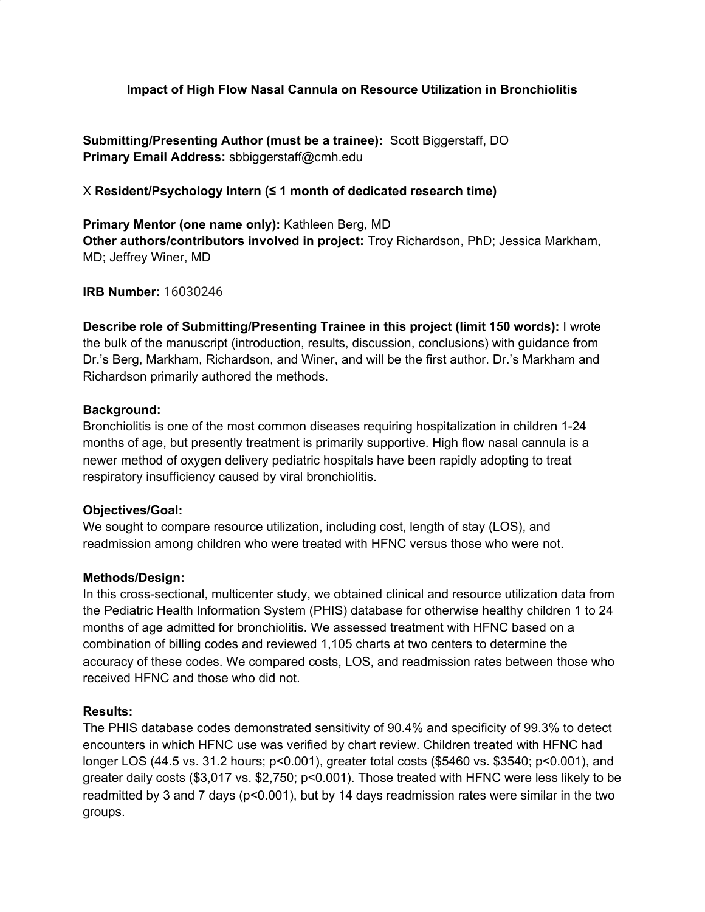**Impact of High Flow Nasal Cannula on Resource Utilization in Bronchiolitis**

**Submitting/Presenting Author (must be a trainee):** Scott Biggerstaff, DO **Primary Email Address:** sbbiggerstaff@cmh.edu

X **Resident/Psychology Intern (≤ 1 month of dedicated research time)**

**Primary Mentor (one name only):** Kathleen Berg, MD **Other authors/contributors involved in project:** Troy Richardson, PhD; Jessica Markham, MD; Jeffrey Winer, MD

**IRB Number:** 16030246

**Describe role of Submitting/Presenting Trainee in this project (limit 150 words):** I wrote the bulk of the manuscript (introduction, results, discussion, conclusions) with guidance from Dr.'s Berg, Markham, Richardson, and Winer, and will be the first author. Dr.'s Markham and Richardson primarily authored the methods.

### **Background:**

Bronchiolitis is one of the most common diseases requiring hospitalization in children 1-24 months of age, but presently treatment is primarily supportive. High flow nasal cannula is a newer method of oxygen delivery pediatric hospitals have been rapidly adopting to treat respiratory insufficiency caused by viral bronchiolitis.

# **Objectives/Goal:**

We sought to compare resource utilization, including cost, length of stay (LOS), and readmission among children who were treated with HFNC versus those who were not.

# **Methods/Design:**

In this cross-sectional, multicenter study, we obtained clinical and resource utilization data from the Pediatric Health Information System (PHIS) database for otherwise healthy children 1 to 24 months of age admitted for bronchiolitis. We assessed treatment with HFNC based on a combination of billing codes and reviewed 1,105 charts at two centers to determine the accuracy of these codes. We compared costs, LOS, and readmission rates between those who received HFNC and those who did not.

# **Results:**

The PHIS database codes demonstrated sensitivity of 90.4% and specificity of 99.3% to detect encounters in which HFNC use was verified by chart review. Children treated with HFNC had longer LOS (44.5 vs. 31.2 hours; p<0.001), greater total costs (\$5460 vs. \$3540; p<0.001), and greater daily costs (\$3,017 vs. \$2,750; p<0.001). Those treated with HFNC were less likely to be readmitted by 3 and 7 days (p<0.001), but by 14 days readmission rates were similar in the two groups.